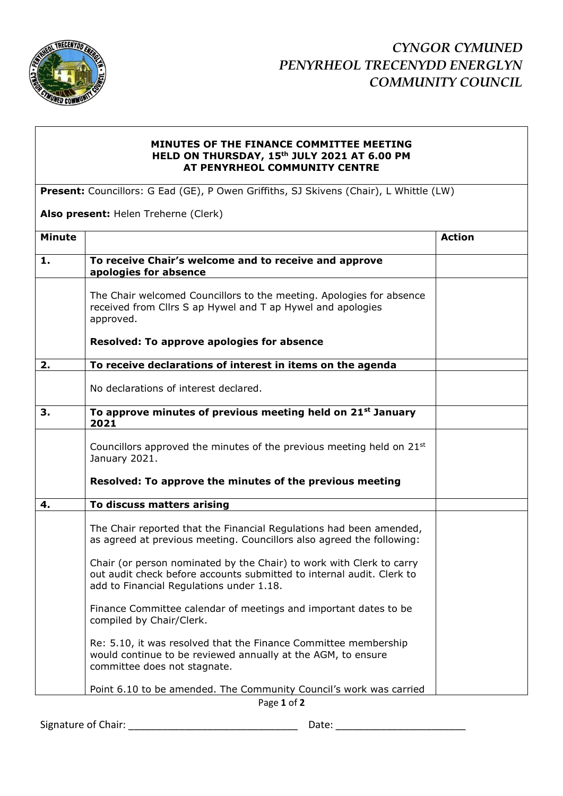

## **MINUTES OF THE FINANCE COMMITTEE MEETING HELD ON THURSDAY, 15th JULY 2021 AT 6.00 PM AT PENYRHEOL COMMUNITY CENTRE**

**Present:** Councillors: G Ead (GE), P Owen Griffiths, SJ Skivens (Chair), L Whittle (LW)

**Also present:** Helen Treherne (Clerk)

| <b>Minute</b> |                                                                                                                                                                                           | <b>Action</b> |  |
|---------------|-------------------------------------------------------------------------------------------------------------------------------------------------------------------------------------------|---------------|--|
| 1.            | To receive Chair's welcome and to receive and approve<br>apologies for absence                                                                                                            |               |  |
|               | The Chair welcomed Councillors to the meeting. Apologies for absence<br>received from Cllrs S ap Hywel and T ap Hywel and apologies<br>approved.                                          |               |  |
|               | Resolved: To approve apologies for absence                                                                                                                                                |               |  |
| 2.            | To receive declarations of interest in items on the agenda                                                                                                                                |               |  |
|               | No declarations of interest declared.                                                                                                                                                     |               |  |
| 3.            | To approve minutes of previous meeting held on 21 <sup>st</sup> January<br>2021                                                                                                           |               |  |
|               | Councillors approved the minutes of the previous meeting held on 21 <sup>st</sup><br>January 2021.                                                                                        |               |  |
|               | Resolved: To approve the minutes of the previous meeting                                                                                                                                  |               |  |
| 4.            | To discuss matters arising                                                                                                                                                                |               |  |
|               | The Chair reported that the Financial Regulations had been amended,<br>as agreed at previous meeting. Councillors also agreed the following:                                              |               |  |
|               | Chair (or person nominated by the Chair) to work with Clerk to carry<br>out audit check before accounts submitted to internal audit. Clerk to<br>add to Financial Regulations under 1.18. |               |  |
|               | Finance Committee calendar of meetings and important dates to be<br>compiled by Chair/Clerk.                                                                                              |               |  |
|               | Re: 5.10, it was resolved that the Finance Committee membership<br>would continue to be reviewed annually at the AGM, to ensure<br>committee does not stagnate.                           |               |  |
|               | Point 6.10 to be amended. The Community Council's work was carried                                                                                                                        |               |  |
| Page 1 of 2   |                                                                                                                                                                                           |               |  |